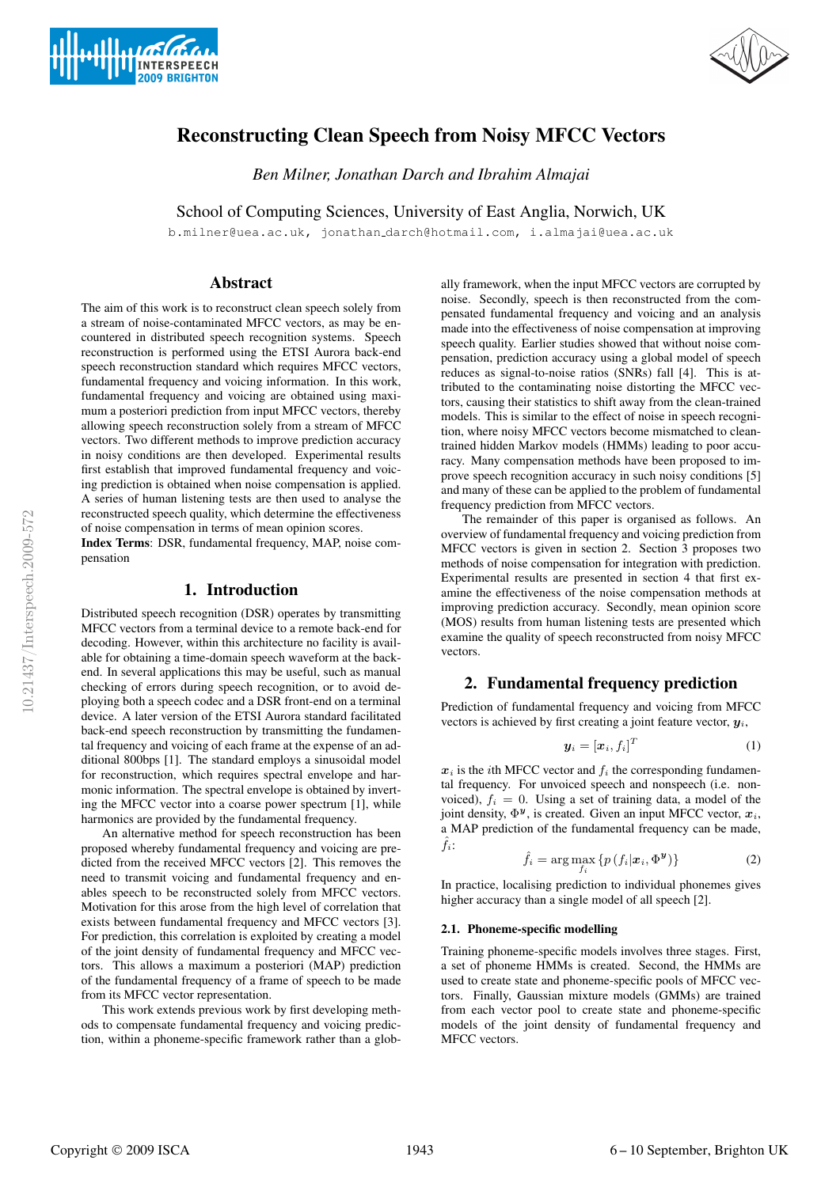



# Reconstructing Clean Speech from Noisy MFCC Vectors

*Ben Milner, Jonathan Darch and Ibrahim Almajai*

School of Computing Sciences, University of East Anglia, Norwich, UK

b.milner@uea.ac.uk, jonathan darch@hotmail.com, i.almajai@uea.ac.uk

# Abstract

The aim of this work is to reconstruct clean speech solely from a stream of noise-contaminated MFCC vectors, as may be encountered in distributed speech recognition systems. Speech reconstruction is performed using the ETSI Aurora back-end speech reconstruction standard which requires MFCC vectors, fundamental frequency and voicing information. In this work, fundamental frequency and voicing are obtained using maximum a posteriori prediction from input MFCC vectors, thereby allowing speech reconstruction solely from a stream of MFCC vectors. Two different methods to improve prediction accuracy in noisy conditions are then developed. Experimental results first establish that improved fundamental frequency and voicing prediction is obtained when noise compensation is applied. A series of human listening tests are then used to analyse the reconstructed speech quality, which determine the effectiveness of noise compensation in terms of mean opinion scores.

Index Terms: DSR, fundamental frequency, MAP, noise compensation

# 1. Introduction

Distributed speech recognition (DSR) operates by transmitting MFCC vectors from a terminal device to a remote back-end for decoding. However, within this architecture no facility is available for obtaining a time-domain speech waveform at the backend. In several applications this may be useful, such as manual checking of errors during speech recognition, or to avoid deploying both a speech codec and a DSR front-end on a terminal device. A later version of the ETSI Aurora standard facilitated back-end speech reconstruction by transmitting the fundamental frequency and voicing of each frame at the expense of an additional 800bps [1]. The standard employs a sinusoidal model for reconstruction, which requires spectral envelope and harmonic information. The spectral envelope is obtained by inverting the MFCC vector into a coarse power spectrum [1], while harmonics are provided by the fundamental frequency.

An alternative method for speech reconstruction has been proposed whereby fundamental frequency and voicing are predicted from the received MFCC vectors [2]. This removes the need to transmit voicing and fundamental frequency and enables speech to be reconstructed solely from MFCC vectors. Motivation for this arose from the high level of correlation that exists between fundamental frequency and MFCC vectors [3]. For prediction, this correlation is exploited by creating a model of the joint density of fundamental frequency and MFCC vectors. This allows a maximum a posteriori (MAP) prediction of the fundamental frequency of a frame of speech to be made from its MFCC vector representation.

This work extends previous work by first developing methods to compensate fundamental frequency and voicing prediction, within a phoneme-specific framework rather than a glob-

ally framework, when the input MFCC vectors are corrupted by noise. Secondly, speech is then reconstructed from the compensated fundamental frequency and voicing and an analysis made into the effectiveness of noise compensation at improving speech quality. Earlier studies showed that without noise compensation, prediction accuracy using a global model of speech reduces as signal-to-noise ratios (SNRs) fall [4]. This is attributed to the contaminating noise distorting the MFCC vectors, causing their statistics to shift away from the clean-trained models. This is similar to the effect of noise in speech recognition, where noisy MFCC vectors become mismatched to cleantrained hidden Markov models (HMMs) leading to poor accuracy. Many compensation methods have been proposed to improve speech recognition accuracy in such noisy conditions [5] and many of these can be applied to the problem of fundamental frequency prediction from MFCC vectors.

The remainder of this paper is organised as follows. An overview of fundamental frequency and voicing prediction from MFCC vectors is given in section 2. Section 3 proposes two methods of noise compensation for integration with prediction. Experimental results are presented in section 4 that first examine the effectiveness of the noise compensation methods at improving prediction accuracy. Secondly, mean opinion score (MOS) results from human listening tests are presented which examine the quality of speech reconstructed from noisy MFCC vectors.

# 2. Fundamental frequency prediction

Prediction of fundamental frequency and voicing from MFCC vectors is achieved by first creating a joint feature vector,  $y_i$ ,

$$
\mathbf{y}_i = [\mathbf{x}_i, f_i]^T \tag{1}
$$

 $x_i$  is the *i*th MFCC vector and  $f_i$  the corresponding fundamental frequency. For unvoiced speech and nonspeech (i.e. nonvoiced),  $f_i = 0$ . Using a set of training data, a model of the joint density,  $\Phi^{\mathbf{y}}$ , is created. Given an input MFCC vector,  $\mathbf{x}_i$ , a MAP prediction of the fundamental frequency can be made,  $\hat{f}_i$ :

$$
\hat{f}_i = \arg\max_{f_i} \{ p(f_i | \mathbf{x}_i, \Phi^{\mathbf{y}}) \}
$$
 (2)

In practice, localising prediction to individual phonemes gives higher accuracy than a single model of all speech [2].

### 2.1. Phoneme-specific modelling

Training phoneme-specific models involves three stages. First, a set of phoneme HMMs is created. Second, the HMMs are used to create state and phoneme-specific pools of MFCC vectors. Finally, Gaussian mixture models (GMMs) are trained from each vector pool to create state and phoneme-specific models of the joint density of fundamental frequency and MFCC vectors.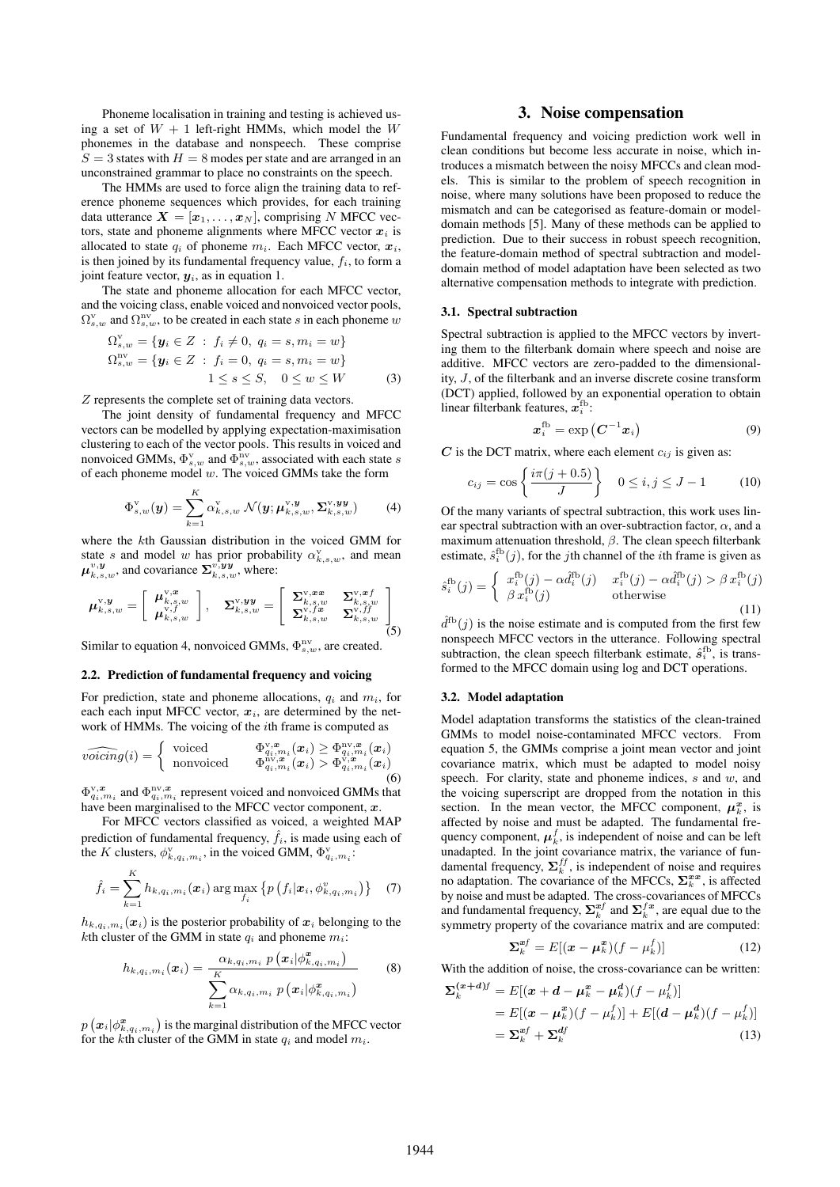Phoneme localisation in training and testing is achieved using a set of  $W + 1$  left-right HMMs, which model the W phonemes in the database and nonspeech. These comprise  $S = 3$  states with  $H = 8$  modes per state and are arranged in an unconstrained grammar to place no constraints on the speech.

The HMMs are used to force align the training data to reference phoneme sequences which provides, for each training data utterance  $X = [x_1, \ldots, x_N]$ , comprising N MFCC vectors, state and phoneme alignments where MFCC vector  $x_i$  is allocated to state  $q_i$  of phoneme  $m_i$ . Each MFCC vector,  $x_i$ , is then joined by its fundamental frequency value,  $f_i$ , to form a joint feature vector,  $y_i$ , as in equation 1.

The state and phoneme allocation for each MFCC vector, and the voicing class, enable voiced and nonvoiced vector pools,  $\Omega_{s,w}^{\rm v}$  and  $\Omega_{s,w}^{\rm nv}$ , to be created in each state s in each phoneme w

$$
\Omega_{s,w}^{\mathbf{v}} = \{ \mathbf{y}_i \in Z \; : \; f_i \neq 0, \; q_i = s, m_i = w \}
$$
  
\n
$$
\Omega_{s,w}^{\mathbf{nv}} = \{ \mathbf{y}_i \in Z \; : \; f_i = 0, \; q_i = s, m_i = w \}
$$
  
\n
$$
1 \leq s \leq S, \quad 0 \leq w \leq W \tag{3}
$$

Z represents the complete set of training data vectors.

The joint density of fundamental frequency and MFCC vectors can be modelled by applying expectation-maximisation clustering to each of the vector pools. This results in voiced and nonvoiced GMMs,  $\Phi_{s,w}^{\rm v}$  and  $\Phi_{s,w}^{\rm nv}$ , associated with each state s of each phoneme model  $w$ . The voiced GMMs take the form

$$
\Phi_{s,w}^{\mathrm{v}}(\boldsymbol{y}) = \sum_{k=1}^{K} \alpha_{k,s,w}^{\mathrm{v}} \mathcal{N}(\boldsymbol{y}; \boldsymbol{\mu}_{k,s,w}^{\mathrm{v}, \boldsymbol{y}}, \boldsymbol{\Sigma}_{k,s,w}^{\mathrm{v}, \boldsymbol{y}\boldsymbol{y}})
$$
(4)

where the kth Gaussian distribution in the voiced GMM for state s and model w has prior probability  $\alpha_{k,s,w}^{V}$ , and mean  $\mu_{k,s,w}^{v,y}$ , and covariance  $\Sigma_{k,s,w}^{\overline{v,y}y}$ , where:

$$
\boldsymbol{\mu}_{k,s,w}^{\text{v},y} = \left[ \begin{array}{c} \boldsymbol{\mu}_{k,s,w}^{\text{v},x} \\ \boldsymbol{\mu}_{k,s,w}^{\text{v},f} \end{array} \right], \quad \boldsymbol{\Sigma}_{k,s,w}^{\text{v},yy} = \left[ \begin{array}{cc} \boldsymbol{\Sigma}_{k,s,w}^{\text{v},xx} & \boldsymbol{\Sigma}_{k,s,w}^{\text{v},xf} \\ \boldsymbol{\Sigma}_{k,s,w}^{\text{v},fx} & \boldsymbol{\Sigma}_{k,s,w}^{\text{v},ff} \end{array} \right] \tag{5}
$$

Similar to equation 4, nonvoiced GMMs,  $\Phi_{s,w}^{\text{nv}}$ , are created.

#### 2.2. Prediction of fundamental frequency and voicing

For prediction, state and phoneme allocations,  $q_i$  and  $m_i$ , for each each input MFCC vector,  $x_i$ , are determined by the network of HMMs. The voicing of the *i*th frame is computed as

$$
\widehat{voicing}(i) = \begin{cases}\n\text{voiced} & \Phi_{q_i, m_i}^{\mathbf{v}, \boldsymbol{x}}(\boldsymbol{x}_i) \ge \Phi_{q_i, m_i}^{\mathbf{nv}, \boldsymbol{x}}(\boldsymbol{x}_i) \\
\text{nonvoiced} & \Phi_{q_i, m_i}^{\mathbf{nv}, \boldsymbol{x}}(\boldsymbol{x}_i) > \Phi_{q_i, m_i}^{\mathbf{v}, \boldsymbol{x}}(\boldsymbol{x}_i) \\
\end{cases}
$$
\n(6)

 $\Phi_{q_i,m_i}^{v,x}$  and  $\Phi_{q_i,m_i}^{nv,x}$  represent voiced and nonvoiced GMMs that have been marginalised to the MFCC vector component,  $x$ .

For MFCC vectors classified as voiced, a weighted MAP prediction of fundamental frequency,  $\hat{f}_i$ , is made using each of the K clusters,  $\phi_{k,q_i,m_i}^{\mathrm{v}}$ , in the voiced GMM,  $\Phi_{q_i,m_i}^{\mathrm{v}}$ :

$$
\hat{f}_i = \sum_{k=1}^K h_{k,q_i,m_i}(\boldsymbol{x}_i) \arg \max_{f_i} \left\{ p\left(f_i|\boldsymbol{x}_i, \phi_{k,q_i,m_i}^v\right) \right\} \quad (7)
$$

 $h_{k,q_i,m_i}(\boldsymbol{x}_i)$  is the posterior probability of  $\boldsymbol{x}_i$  belonging to the kth cluster of the GMM in state  $q_i$  and phoneme  $m_i$ :

$$
h_{k,q_i,m_i}(\boldsymbol{x}_i) = \frac{\alpha_{k,q_i,m_i} p\left(\boldsymbol{x}_i | \phi_{k,q_i,m_i}^{\boldsymbol{x}}\right)}{\sum_{k=1}^{K} \alpha_{k,q_i,m_i} p\left(\boldsymbol{x}_i | \phi_{k,q_i,m_i}^{\boldsymbol{x}}\right)}
$$
(8)

 $p\left(\boldsymbol{x}_i|\phi^{\boldsymbol{x}}_{k,q_i,m_i}\right)$  is the marginal distribution of the MFCC vector for the kth cluster of the GMM in state  $q_i$  and model  $m_i$ .

### 3. Noise compensation

Fundamental frequency and voicing prediction work well in clean conditions but become less accurate in noise, which introduces a mismatch between the noisy MFCCs and clean models. This is similar to the problem of speech recognition in noise, where many solutions have been proposed to reduce the mismatch and can be categorised as feature-domain or modeldomain methods [5]. Many of these methods can be applied to prediction. Due to their success in robust speech recognition, the feature-domain method of spectral subtraction and modeldomain method of model adaptation have been selected as two alternative compensation methods to integrate with prediction.

#### 3.1. Spectral subtraction

Spectral subtraction is applied to the MFCC vectors by inverting them to the filterbank domain where speech and noise are additive. MFCC vectors are zero-padded to the dimensionality, J, of the filterbank and an inverse discrete cosine transform (DCT) applied, followed by an exponential operation to obtain linear filterbank features,  $x_i^{\text{fb}}$ :

$$
x_i^{\text{fb}} = \exp\left(C^{-1}x_i\right) \tag{9}
$$

 $C$  is the DCT matrix, where each element  $c_{ij}$  is given as:

$$
c_{ij} = \cos\left\{\frac{i\pi(j+0.5)}{J}\right\} \quad 0 \le i, j \le J-1 \tag{10}
$$

Of the many variants of spectral subtraction, this work uses linear spectral subtraction with an over-subtraction factor,  $\alpha$ , and a maximum attenuation threshold,  $\beta$ . The clean speech filterbank estimate,  $\hat{s}_i^{\text{fb}}(j)$ , for the *j*th channel of the *i*th frame is given as

$$
\hat{s}_i^{\text{fb}}(j) = \begin{cases}\n x_i^{\text{fb}}(j) - \alpha \hat{d}_i^{\text{fb}}(j) & x_i^{\text{fb}}(j) - \alpha \hat{d}_i^{\text{fb}}(j) > \beta \, x_i^{\text{fb}}(j) \\
 \beta \, x_i^{\text{fb}}(j) & \text{otherwise}\n\end{cases}
$$
\n(11)

 $\hat{d}^{\text{fb}}(j)$  is the noise estimate and is computed from the first few nonspeech MFCC vectors in the utterance. Following spectral subtraction, the clean speech filterbank estimate,  $\hat{s}_i^{\text{fb}}$ , is transformed to the MFCC domain using log and DCT operations.

#### 3.2. Model adaptation

Model adaptation transforms the statistics of the clean-trained GMMs to model noise-contaminated MFCC vectors. From equation 5, the GMMs comprise a joint mean vector and joint covariance matrix, which must be adapted to model noisy speech. For clarity, state and phoneme indices,  $s$  and  $w$ , and the voicing superscript are dropped from the notation in this section. In the mean vector, the MFCC component,  $\mu_k^x$ , is affected by noise and must be adapted. The fundamental frequency component,  $\mu_k^f$ , is independent of noise and can be left unadapted. In the joint covariance matrix, the variance of fundamental frequency,  $\Sigma_k^{ff}$ , is independent of noise and requires no adaptation. The covariance of the MFCCs,  $\Sigma_k^{xx}$ , is affected by noise and must be adapted. The cross-covariances of MFCCs and fundamental frequency,  $\Sigma_k^{xf}$  and  $\Sigma_k^{fx}$ , are equal due to the symmetry property of the covariance matrix and are computed:

$$
\Sigma_k^{xf} = E[(x - \mu_k^x)(f - \mu_k^f)] \tag{12}
$$

d

With the addition of noise, the cross-covariance can be written:

$$
\Sigma_k^{(x+d)f} = E[(x+d-\mu_k^x-\mu_k^d)(f-\mu_k^f)]
$$
  
= 
$$
E[(x-\mu_k^x)(f-\mu_k^f)] + E[(d-\mu_k^d)(f-\mu_k^f)]
$$
  
= 
$$
\Sigma_k^{xf} + \Sigma_k^{df}
$$
 (13)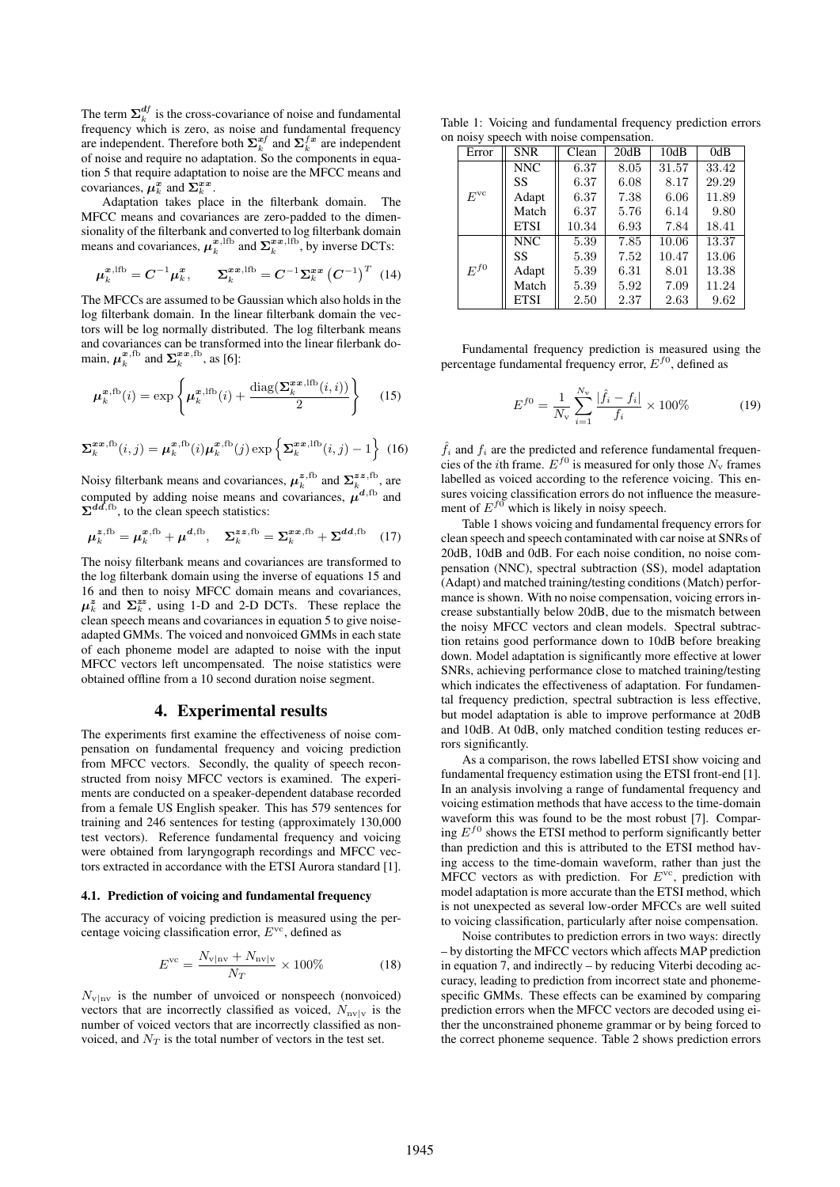The term  $\Sigma_k^{df}$  is the cross-covariance of noise and fundamental frequency which is zero, as noise and fundamental frequency are independent. Therefore both  $\sum_{k}^{xf}$  and  $\sum_{k}^{f_x}$  are independent of noise and require no adaptation. So the components in equation 5 that require adaptation to noise are the MFCC means and covariances,  $\mu_k^x$  and  $\Sigma_k^{xx}$ .

Adaptation takes place in the filterbank domain. The MFCC means and covariances are zero-padded to the dimensionality of the filterbank and converted to log filterbank domain means and covariances,  $\mu_k^{\mathbf{x},\text{lfb}}$  and  $\Sigma_k^{\mathbf{x},\text{lfb}}$ , by inverse DCTs:

$$
\mu_k^{x,\text{1fb}} = C^{-1} \mu_k^x, \qquad \Sigma_k^{xx,\text{1fb}} = C^{-1} \Sigma_k^{xx} (C^{-1})^T \tag{14}
$$

The MFCCs are assumed to be Gaussian which also holds in the log filterbank domain. In the linear filterbank domain the vectors will be log normally distributed. The log filterbank means and covariances can be transformed into the linear filerbank domain,  $\mu_k^{\mathbf{x},\text{fb}}$  and  $\Sigma_k^{\mathbf{x}\mathbf{x},\text{fb}}$ , as [6]:

$$
\mu_k^{\boldsymbol{x},\text{fb}}(i) = \exp\left\{\mu_k^{\boldsymbol{x},\text{lfb}}(i) + \frac{\text{diag}(\boldsymbol{\Sigma}_k^{\boldsymbol{x}\boldsymbol{x},\text{lfb}}(i,i))}{2}\right\} \quad (15)
$$

$$
\Sigma_k^{xx,fb}(i,j) = \mu_k^{x,fb}(i)\mu_k^{x,fb}(j)\exp\left\{\Sigma_k^{xx,lfb}(i,j) - 1\right\}
$$
 (16)

Noisy filterbank means and covariances,  $\mu_k^{z,fb}$  and  $\Sigma_k^{zz,fb}$ , are computed by adding noise means and covariances,  $\mu^{d,fb}$  and  $\Sigma^{dd,fb}$ , to the clean speech statistics:

$$
\mu_k^{z, \text{fb}} = \mu_k^{x, \text{fb}} + \mu^{d, \text{fb}}, \quad \Sigma_k^{zz, \text{fb}} = \Sigma_k^{xx, \text{fb}} + \Sigma^{dd, \text{fb}} \quad (17)
$$

The noisy filterbank means and covariances are transformed to the log filterbank domain using the inverse of equations 15 and 16 and then to noisy MFCC domain means and covariances,  $\mu_k^z$  and  $\Sigma_k^{zz}$ , using 1-D and 2-D DCTs. These replace the clean speech means and covariances in equation 5 to give noiseadapted GMMs. The voiced and nonvoiced GMMs in each state of each phoneme model are adapted to noise with the input MFCC vectors left uncompensated. The noise statistics were obtained offline from a 10 second duration noise segment.

# 4. Experimental results

The experiments first examine the effectiveness of noise compensation on fundamental frequency and voicing prediction from MFCC vectors. Secondly, the quality of speech reconstructed from noisy MFCC vectors is examined. The experiments are conducted on a speaker-dependent database recorded from a female US English speaker. This has 579 sentences for training and 246 sentences for testing (approximately 130,000 test vectors). Reference fundamental frequency and voicing were obtained from laryngograph recordings and MFCC vectors extracted in accordance with the ETSI Aurora standard [1].

#### 4.1. Prediction of voicing and fundamental frequency

The accuracy of voicing prediction is measured using the percentage voicing classification error,  $E^{vc}$ , defined as

$$
E^{\rm vc} = \frac{N_{\rm v|nv} + N_{\rm nv|v}}{N_T} \times 100\% \tag{18}
$$

 $N_{\text{v} \parallel \text{nv}}$  is the number of unvoiced or nonspeech (nonvoiced) vectors that are incorrectly classified as voiced,  $N_{\text{nv}|v}$  is the number of voiced vectors that are incorrectly classified as nonvoiced, and  $N_T$  is the total number of vectors in the test set.

Table 1: Voicing and fundamental frequency prediction errors on noisy speech with noise compensation.

| Error        | <b>SNR</b>  | Clean | 20dB | 10dB  | 0dB   |
|--------------|-------------|-------|------|-------|-------|
| $E^{\rm vc}$ | NNC         | 6.37  | 8.05 | 31.57 | 33.42 |
|              | SS          | 6.37  | 6.08 | 8.17  | 29.29 |
|              | Adapt       | 6.37  | 7.38 | 6.06  | 11.89 |
|              | Match       | 6.37  | 5.76 | 6.14  | 9.80  |
|              | <b>ETSI</b> | 10.34 | 6.93 | 7.84  | 18.41 |
| $E^{f0}$     | NNC         | 5.39  | 7.85 | 10.06 | 13.37 |
|              | SS          | 5.39  | 7.52 | 10.47 | 13.06 |
|              | Adapt       | 5.39  | 6.31 | 8.01  | 13.38 |
|              | Match       | 5.39  | 5.92 | 7.09  | 11.24 |
|              | <b>ETSI</b> | 2.50  | 2.37 | 2.63  | 9.62  |

Fundamental frequency prediction is measured using the percentage fundamental frequency error,  $E^{f0}$ , defined as

$$
E^{f0} = \frac{1}{N_v} \sum_{i=1}^{N_v} \frac{|\hat{f}_i - f_i|}{f_i} \times 100\%
$$
 (19)

 $\hat{f}_i$  and  $f_i$  are the predicted and reference fundamental frequencies of the *i*th frame.  $E^{f0}$  is measured for only those  $N_{v}$  frames labelled as voiced according to the reference voicing. This ensures voicing classification errors do not influence the measurement of  $E^{f0}$  which is likely in noisy speech.

Table 1 shows voicing and fundamental frequency errors for clean speech and speech contaminated with car noise at SNRs of 20dB, 10dB and 0dB. For each noise condition, no noise compensation (NNC), spectral subtraction (SS), model adaptation (Adapt) and matched training/testing conditions (Match) performance is shown. With no noise compensation, voicing errors increase substantially below 20dB, due to the mismatch between the noisy MFCC vectors and clean models. Spectral subtraction retains good performance down to 10dB before breaking down. Model adaptation is significantly more effective at lower SNRs, achieving performance close to matched training/testing which indicates the effectiveness of adaptation. For fundamental frequency prediction, spectral subtraction is less effective, but model adaptation is able to improve performance at 20dB and 10dB. At 0dB, only matched condition testing reduces errors significantly.

As a comparison, the rows labelled ETSI show voicing and fundamental frequency estimation using the ETSI front-end [1]. In an analysis involving a range of fundamental frequency and voicing estimation methods that have access to the time-domain waveform this was found to be the most robust [7]. Comparing  $E^{f0}$  shows the ETSI method to perform significantly better than prediction and this is attributed to the ETSI method having access to the time-domain waveform, rather than just the MFCC vectors as with prediction. For  $E<sup>vc</sup>$ , prediction with model adaptation is more accurate than the ETSI method, which is not unexpected as several low-order MFCCs are well suited to voicing classification, particularly after noise compensation.

Noise contributes to prediction errors in two ways: directly – by distorting the MFCC vectors which affects MAP prediction in equation 7, and indirectly – by reducing Viterbi decoding accuracy, leading to prediction from incorrect state and phonemespecific GMMs. These effects can be examined by comparing prediction errors when the MFCC vectors are decoded using either the unconstrained phoneme grammar or by being forced to the correct phoneme sequence. Table 2 shows prediction errors